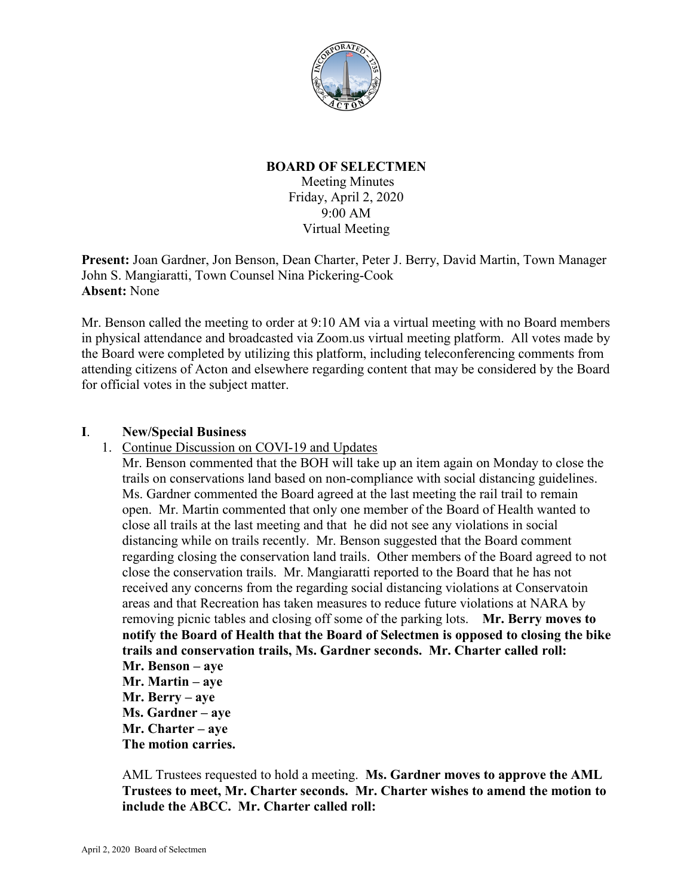

## **BOARD OF SELECTMEN**

Meeting Minutes Friday, April 2, 2020 9:00 AM Virtual Meeting

**Present:** Joan Gardner, Jon Benson, Dean Charter, Peter J. Berry, David Martin, Town Manager John S. Mangiaratti, Town Counsel Nina Pickering-Cook **Absent:** None

Mr. Benson called the meeting to order at 9:10 AM via a virtual meeting with no Board members in physical attendance and broadcasted via Zoom.us virtual meeting platform. All votes made by the Board were completed by utilizing this platform, including teleconferencing comments from attending citizens of Acton and elsewhere regarding content that may be considered by the Board for official votes in the subject matter.

## **I**. **New/Special Business**

1. Continue Discussion on COVI-19 and Updates

Mr. Benson commented that the BOH will take up an item again on Monday to close the trails on conservations land based on non-compliance with social distancing guidelines. Ms. Gardner commented the Board agreed at the last meeting the rail trail to remain open. Mr. Martin commented that only one member of the Board of Health wanted to close all trails at the last meeting and that he did not see any violations in social distancing while on trails recently. Mr. Benson suggested that the Board comment regarding closing the conservation land trails. Other members of the Board agreed to not close the conservation trails. Mr. Mangiaratti reported to the Board that he has not received any concerns from the regarding social distancing violations at Conservatoin areas and that Recreation has taken measures to reduce future violations at NARA by removing picnic tables and closing off some of the parking lots. **Mr. Berry moves to notify the Board of Health that the Board of Selectmen is opposed to closing the bike trails and conservation trails, Ms. Gardner seconds. Mr. Charter called roll: Mr. Benson – aye Mr. Martin – aye Mr. Berry – aye Ms. Gardner – aye Mr. Charter – aye**

**The motion carries.**

AML Trustees requested to hold a meeting. **Ms. Gardner moves to approve the AML Trustees to meet, Mr. Charter seconds. Mr. Charter wishes to amend the motion to include the ABCC. Mr. Charter called roll:**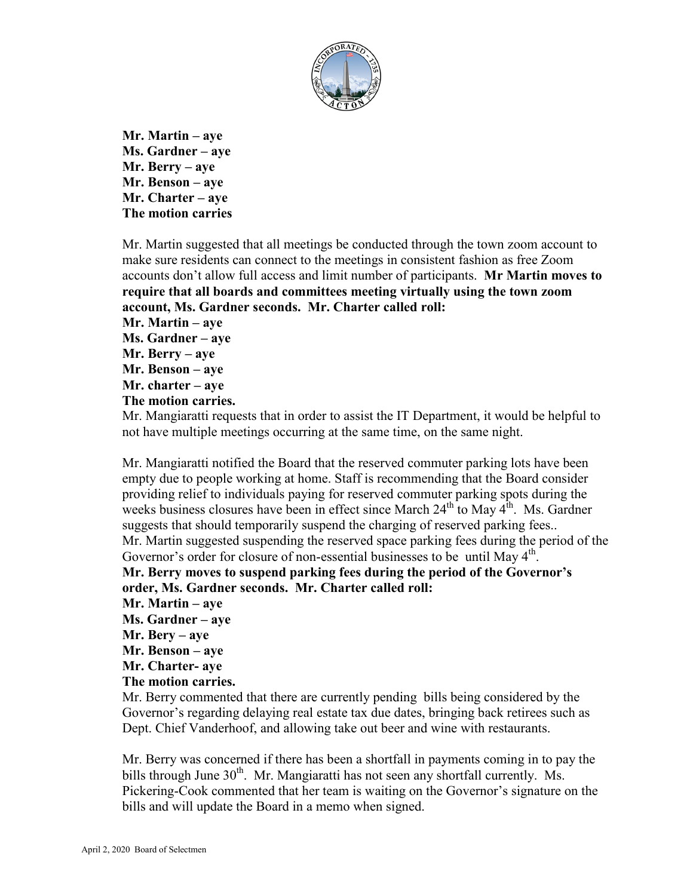

**Mr. Martin – aye Ms. Gardner – aye Mr. Berry – aye Mr. Benson – aye Mr. Charter – aye The motion carries**

Mr. Martin suggested that all meetings be conducted through the town zoom account to make sure residents can connect to the meetings in consistent fashion as free Zoom accounts don't allow full access and limit number of participants. **Mr Martin moves to require that all boards and committees meeting virtually using the town zoom account, Ms. Gardner seconds. Mr. Charter called roll: Mr. Martin – aye Ms. Gardner – aye Mr. Berry – aye Mr. Benson – aye**

**Mr. charter – aye**

**The motion carries.**

Mr. Mangiaratti requests that in order to assist the IT Department, it would be helpful to not have multiple meetings occurring at the same time, on the same night.

Mr. Mangiaratti notified the Board that the reserved commuter parking lots have been empty due to people working at home. Staff is recommending that the Board consider providing relief to individuals paying for reserved commuter parking spots during the weeks business closures have been in effect since March  $24<sup>th</sup>$  to May  $4<sup>th</sup>$ . Ms. Gardner suggests that should temporarily suspend the charging of reserved parking fees.. Mr. Martin suggested suspending the reserved space parking fees during the period of the Governor's order for closure of non-essential businesses to be until May 4<sup>th</sup>. **Mr. Berry moves to suspend parking fees during the period of the Governor's** 

**order, Ms. Gardner seconds. Mr. Charter called roll:**

- **Mr. Martin – aye**
- **Ms. Gardner – aye**
- **Mr. Bery – aye**
- **Mr. Benson – aye**
- **Mr. Charter- aye**

## **The motion carries.**

Mr. Berry commented that there are currently pending bills being considered by the Governor's regarding delaying real estate tax due dates, bringing back retirees such as Dept. Chief Vanderhoof, and allowing take out beer and wine with restaurants.

Mr. Berry was concerned if there has been a shortfall in payments coming in to pay the bills through June  $30<sup>th</sup>$ . Mr. Mangiaratti has not seen any shortfall currently. Ms. Pickering-Cook commented that her team is waiting on the Governor's signature on the bills and will update the Board in a memo when signed.